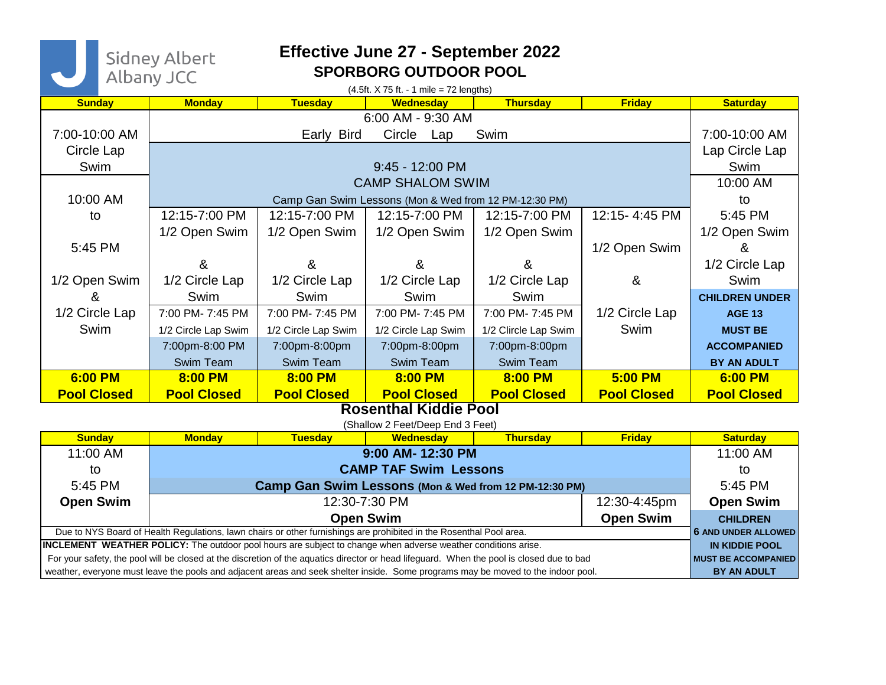Sidney Albert<br>Albany JCC

## **Effective June 27 - September 2022 SPORBORG OUTDOOR POOL**

| $(4.5ft. X 75 ft. - 1 mile = 72 lengths)$                                                                                                                                                                                                                                                                                                                                                              |                                                       |                     |                     |                      |                    |                                                                           |
|--------------------------------------------------------------------------------------------------------------------------------------------------------------------------------------------------------------------------------------------------------------------------------------------------------------------------------------------------------------------------------------------------------|-------------------------------------------------------|---------------------|---------------------|----------------------|--------------------|---------------------------------------------------------------------------|
| <b>Sunday</b>                                                                                                                                                                                                                                                                                                                                                                                          | <b>Monday</b>                                         | <b>Tuesday</b>      | <b>Wednesday</b>    | <b>Thursday</b>      | <b>Friday</b>      | <b>Saturday</b>                                                           |
| 6:00 AM - 9:30 AM                                                                                                                                                                                                                                                                                                                                                                                      |                                                       |                     |                     |                      |                    |                                                                           |
| 7:00-10:00 AM                                                                                                                                                                                                                                                                                                                                                                                          |                                                       | Early Bird          | Circle Lap          | Swim                 |                    | 7:00-10:00 AM                                                             |
| Circle Lap                                                                                                                                                                                                                                                                                                                                                                                             |                                                       |                     |                     |                      |                    | Lap Circle Lap                                                            |
| Swim                                                                                                                                                                                                                                                                                                                                                                                                   | 9:45 - 12:00 PM                                       |                     |                     |                      |                    | Swim                                                                      |
|                                                                                                                                                                                                                                                                                                                                                                                                        | <b>CAMP SHALOM SWIM</b>                               |                     |                     |                      |                    | 10:00 AM                                                                  |
| 10:00 AM                                                                                                                                                                                                                                                                                                                                                                                               | Camp Gan Swim Lessons (Mon & Wed from 12 PM-12:30 PM) |                     |                     |                      |                    | to                                                                        |
| to                                                                                                                                                                                                                                                                                                                                                                                                     | 12:15-7:00 PM                                         | 12:15-7:00 PM       | 12:15-7:00 PM       | 12:15-7:00 PM        | 12:15-4:45 PM      | 5:45 PM                                                                   |
|                                                                                                                                                                                                                                                                                                                                                                                                        | 1/2 Open Swim                                         | 1/2 Open Swim       | 1/2 Open Swim       | 1/2 Open Swim        |                    | 1/2 Open Swim                                                             |
| 5:45 PM                                                                                                                                                                                                                                                                                                                                                                                                |                                                       |                     |                     |                      | 1/2 Open Swim      | &                                                                         |
|                                                                                                                                                                                                                                                                                                                                                                                                        | &                                                     | &                   | &                   | &                    |                    | 1/2 Circle Lap                                                            |
| 1/2 Open Swim                                                                                                                                                                                                                                                                                                                                                                                          | 1/2 Circle Lap                                        | 1/2 Circle Lap      | 1/2 Circle Lap      | 1/2 Circle Lap       | &                  | Swim                                                                      |
| &                                                                                                                                                                                                                                                                                                                                                                                                      | Swim                                                  | Swim                | Swim                | Swim                 |                    | <b>CHILDREN UNDER</b>                                                     |
| 1/2 Circle Lap                                                                                                                                                                                                                                                                                                                                                                                         | 7:00 PM- 7:45 PM                                      | 7:00 PM- 7:45 PM    | 7:00 PM- 7:45 PM    | 7:00 PM- 7:45 PM     | 1/2 Circle Lap     | <b>AGE 13</b>                                                             |
| Swim                                                                                                                                                                                                                                                                                                                                                                                                   | 1/2 Circle Lap Swim                                   | 1/2 Circle Lap Swim | 1/2 Circle Lap Swim | 1/2 Clircle Lap Swim | Swim               | <b>MUST BE</b>                                                            |
|                                                                                                                                                                                                                                                                                                                                                                                                        | 7:00pm-8:00 PM                                        | 7:00pm-8:00pm       | 7:00pm-8:00pm       | 7:00pm-8:00pm        |                    | <b>ACCOMPANIED</b>                                                        |
|                                                                                                                                                                                                                                                                                                                                                                                                        | Swim Team                                             | Swim Team           | Swim Team           | Swim Team            |                    | <b>BY AN ADULT</b>                                                        |
| 6:00 PM                                                                                                                                                                                                                                                                                                                                                                                                | 8:00 PM                                               | 8:00 PM             | 8:00 PM             | 8:00 PM              | 5:00 PM            | 6:00 PM                                                                   |
| <b>Pool Closed</b>                                                                                                                                                                                                                                                                                                                                                                                     | <b>Pool Closed</b>                                    | <b>Pool Closed</b>  | <b>Pool Closed</b>  | <b>Pool Closed</b>   | <b>Pool Closed</b> | <b>Pool Closed</b>                                                        |
| <b>Rosenthal Kiddie Pool</b>                                                                                                                                                                                                                                                                                                                                                                           |                                                       |                     |                     |                      |                    |                                                                           |
| (Shallow 2 Feet/Deep End 3 Feet)                                                                                                                                                                                                                                                                                                                                                                       |                                                       |                     |                     |                      |                    |                                                                           |
| <b>Sunday</b>                                                                                                                                                                                                                                                                                                                                                                                          | <b>Monday</b>                                         | <b>Tuesday</b>      | <b>Wednesday</b>    | <b>Thursday</b>      | <b>Friday</b>      | <b>Saturday</b>                                                           |
| 11:00 AM                                                                                                                                                                                                                                                                                                                                                                                               | 9:00 AM-12:30 PM                                      |                     |                     |                      |                    | 11:00 AM                                                                  |
| to                                                                                                                                                                                                                                                                                                                                                                                                     | <b>CAMP TAF Swim Lessons</b>                          |                     |                     |                      |                    | to                                                                        |
| 5:45 PM                                                                                                                                                                                                                                                                                                                                                                                                | Camp Gan Swim Lessons (Mon & Wed from 12 PM-12:30 PM) |                     |                     |                      |                    | 5:45 PM                                                                   |
| <b>Open Swim</b>                                                                                                                                                                                                                                                                                                                                                                                       | 12:30-7:30 PM                                         |                     |                     |                      | 12:30-4:45pm       | <b>Open Swim</b>                                                          |
| <b>Open Swim</b><br><b>Open Swim</b>                                                                                                                                                                                                                                                                                                                                                                   |                                                       |                     |                     |                      |                    | <b>CHILDREN</b>                                                           |
| Due to NYS Board of Health Regulations, lawn chairs or other furnishings are prohibited in the Rosenthal Pool area.                                                                                                                                                                                                                                                                                    |                                                       |                     |                     |                      |                    | <b>6 AND UNDER ALLOWED</b>                                                |
|                                                                                                                                                                                                                                                                                                                                                                                                        |                                                       |                     |                     |                      |                    |                                                                           |
|                                                                                                                                                                                                                                                                                                                                                                                                        |                                                       |                     |                     |                      |                    |                                                                           |
| <b>INCLEMENT WEATHER POLICY:</b> The outdoor pool hours are subject to change when adverse weather conditions arise.<br>For your safety, the pool will be closed at the discretion of the aquatics director or head lifeguard. When the pool is closed due to bad<br>weather, everyone must leave the pools and adjacent areas and seek shelter inside. Some programs may be moved to the indoor pool. |                                                       |                     |                     |                      |                    | <b>IN KIDDIE POOL</b><br><b>MUST BE ACCOMPANIED</b><br><b>BY AN ADULT</b> |